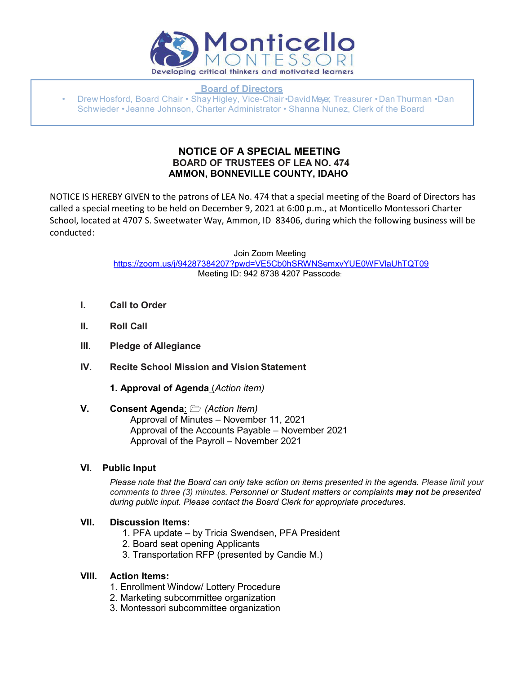

 **Board of Directors**

• DrewHosford, Board Chair • Shay Higley, Vice-Chair•DavidMeyer, Treasurer •DanThurman •Dan Schwieder • Jeanne Johnson, Charter Administrator • Shanna Nunez, Clerk of the Board

## **NOTICE OF A SPECIAL MEETING BOARD OF TRUSTEES OF LEA NO. 474 AMMON, BONNEVILLE COUNTY, IDAHO**

NOTICE IS HEREBY GIVEN to the patrons of LEA No. 474 that a special meeting of the Board of Directors has called a special meeting to be held on December 9, 2021 at 6:00 p.m., at Monticello Montessori Charter School, located at 4707 S. Sweetwater Way, Ammon, ID 83406, during which the following business will be conducted:

> Join Zoom Meeting [https://zoom.us/j/94287384207?pwd=VE5Cb0hSRWNSemxvYUE0WFVlaUhTQT09](https://www.google.com/url?q=https://zoom.us/j/94287384207?pwd%3DVE5Cb0hSRWNSemxvYUE0WFVlaUhTQT09&sa=D&source=calendar&ust=1639429046588980&usg=AOvVaw025MOzxXvYviwE3G7mkPKX) Meeting ID: 942 8738 4207 Passcode:

- **I. Call to Order**
- **II. Roll Call**
- **III. Pledge of Allegiance**
- **IV. Recite School Mission and Vision Statement**
	- **1. Approval of Agenda** (*Action item)*

#### **V. Consent Agenda**: *(Action Item)* Approval of Minutes – November 11, 2021 Approval of the Accounts Payable – November 2021 Approval of the Payroll – November 2021

## **VI. Public Input**

*Please note that the Board can only take action on items presented in the agenda. Please limit your comments to three (3) minutes. Personnel or Student matters or complaints may not be presented during public input. Please contact the Board Clerk for appropriate procedures.*

## **VII. Discussion Items:**

- 1. PFA update by Tricia Swendsen, PFA President
- 2. Board seat opening Applicants
- 3. Transportation RFP (presented by Candie M.)

#### **VIII. Action Items:**

- 1. Enrollment Window/ Lottery Procedure
- 2. Marketing subcommittee organization
- 3. Montessori subcommittee organization